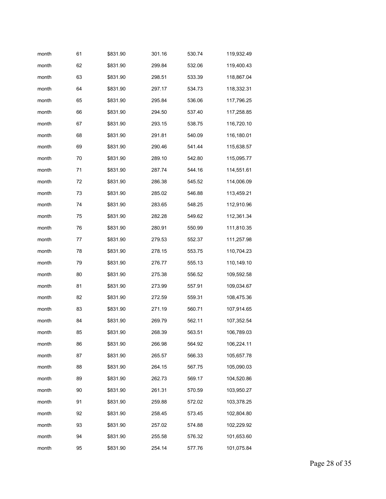| month | 61 | \$831.90 | 301.16 | 530.74 | 119,932.49 |
|-------|----|----------|--------|--------|------------|
| month | 62 | \$831.90 | 299.84 | 532.06 | 119,400.43 |
| month | 63 | \$831.90 | 298.51 | 533.39 | 118,867.04 |
| month | 64 | \$831.90 | 297.17 | 534.73 | 118,332.31 |
| month | 65 | \$831.90 | 295.84 | 536.06 | 117,796.25 |
| month | 66 | \$831.90 | 294.50 | 537.40 | 117,258.85 |
| month | 67 | \$831.90 | 293.15 | 538.75 | 116,720.10 |
| month | 68 | \$831.90 | 291.81 | 540.09 | 116,180.01 |
| month | 69 | \$831.90 | 290.46 | 541.44 | 115,638.57 |
| month | 70 | \$831.90 | 289.10 | 542.80 | 115,095.77 |
| month | 71 | \$831.90 | 287.74 | 544.16 | 114,551.61 |
| month | 72 | \$831.90 | 286.38 | 545.52 | 114,006.09 |
| month | 73 | \$831.90 | 285.02 | 546.88 | 113,459.21 |
| month | 74 | \$831.90 | 283.65 | 548.25 | 112,910.96 |
| month | 75 | \$831.90 | 282.28 | 549.62 | 112,361.34 |
| month | 76 | \$831.90 | 280.91 | 550.99 | 111,810.35 |
| month | 77 | \$831.90 | 279.53 | 552.37 | 111,257.98 |
| month | 78 | \$831.90 | 278.15 | 553.75 | 110,704.23 |
| month | 79 | \$831.90 | 276.77 | 555.13 | 110,149.10 |
| month | 80 | \$831.90 | 275.38 | 556.52 | 109,592.58 |
| month | 81 | \$831.90 | 273.99 | 557.91 | 109,034.67 |
| month | 82 | \$831.90 | 272.59 | 559.31 | 108,475.36 |
| month | 83 | \$831.90 | 271.19 | 560.71 | 107,914.65 |
| month | 84 | \$831.90 | 269.79 | 562.11 | 107,352.54 |
| month | 85 | \$831.90 | 268.39 | 563.51 | 106,789.03 |
| month | 86 | \$831.90 | 266.98 | 564.92 | 106,224.11 |
| month | 87 | \$831.90 | 265.57 | 566.33 | 105,657.78 |
| month | 88 | \$831.90 | 264.15 | 567.75 | 105,090.03 |
| month | 89 | \$831.90 | 262.73 | 569.17 | 104,520.86 |
| month | 90 | \$831.90 | 261.31 | 570.59 | 103,950.27 |
| month | 91 | \$831.90 | 259.88 | 572.02 | 103,378.25 |
| month | 92 | \$831.90 | 258.45 | 573.45 | 102,804.80 |
| month | 93 | \$831.90 | 257.02 | 574.88 | 102,229.92 |
| month | 94 | \$831.90 | 255.58 | 576.32 | 101,653.60 |
| month | 95 | \$831.90 | 254.14 | 577.76 | 101,075.84 |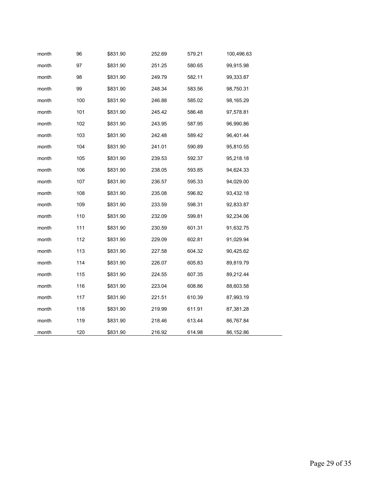| month | 96  | \$831.90 | 252.69 | 579.21 | 100,496.63 |
|-------|-----|----------|--------|--------|------------|
| month | 97  | \$831.90 | 251.25 | 580.65 | 99,915.98  |
| month | 98  | \$831.90 | 249.79 | 582.11 | 99,333.87  |
| month | 99  | \$831.90 | 248.34 | 583.56 | 98,750.31  |
| month | 100 | \$831.90 | 246.88 | 585.02 | 98,165.29  |
| month | 101 | \$831.90 | 245.42 | 586.48 | 97,578.81  |
| month | 102 | \$831.90 | 243.95 | 587.95 | 96,990.86  |
| month | 103 | \$831.90 | 242.48 | 589.42 | 96,401.44  |
| month | 104 | \$831.90 | 241.01 | 590.89 | 95,810.55  |
| month | 105 | \$831.90 | 239.53 | 592.37 | 95,218.18  |
| month | 106 | \$831.90 | 238.05 | 593.85 | 94,624.33  |
| month | 107 | \$831.90 | 236.57 | 595.33 | 94,029.00  |
| month | 108 | \$831.90 | 235.08 | 596.82 | 93,432.18  |
| month | 109 | \$831.90 | 233.59 | 598.31 | 92,833.87  |
| month | 110 | \$831.90 | 232.09 | 599.81 | 92,234.06  |
| month | 111 | \$831.90 | 230.59 | 601.31 | 91,632.75  |
| month | 112 | \$831.90 | 229.09 | 602.81 | 91,029.94  |
| month | 113 | \$831.90 | 227.58 | 604.32 | 90,425.62  |
| month | 114 | \$831.90 | 226.07 | 605.83 | 89,819.79  |
| month | 115 | \$831.90 | 224.55 | 607.35 | 89,212.44  |
| month | 116 | \$831.90 | 223.04 | 608.86 | 88,603.58  |
| month | 117 | \$831.90 | 221.51 | 610.39 | 87,993.19  |
| month | 118 | \$831.90 | 219.99 | 611.91 | 87,381.28  |
| month | 119 | \$831.90 | 218.46 | 613.44 | 86,767.84  |
| month | 120 | \$831.90 | 216.92 | 614.98 | 86,152.86  |

Page 29 of 35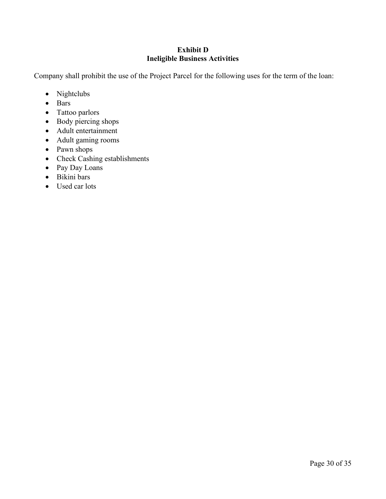### **Exhibit D Ineligible Business Activities**

Company shall prohibit the use of the Project Parcel for the following uses for the term of the loan:

- Nightclubs
- Bars
- Tattoo parlors
- Body piercing shops
- Adult entertainment
- Adult gaming rooms
- Pawn shops
- Check Cashing establishments
- Pay Day Loans
- Bikini bars
- Used car lots

## Page 30 of 35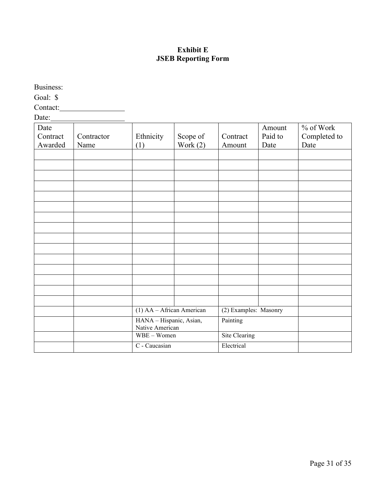### **Exhibit E JSEB Reporting Form**

Business: Goal: \$ Contact: Date: Date Contract Awarded Contractor Name Ethnicity (1) Scope of Work  $(2)$ **Contract** Amount Amount Paid to Date % of Work Completed to Date (1) AA – African American (2) Examples: Masonry HANA – Hispanic, Asian, Native American Painting WBE – Women Site Clearing C - Caucasian Electrical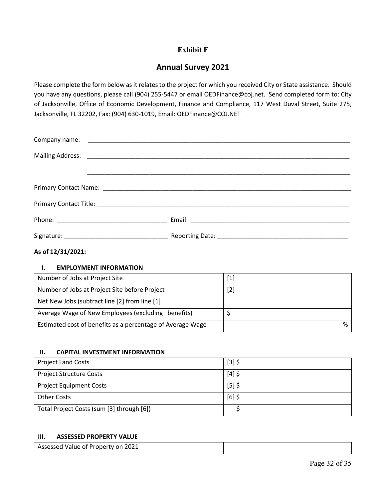## **Exhibit F**

# **Annual Survey 2021**

Please complete the form below as it relates to the project for which you received City or State assistance. Should you have any questions, please call (904) 255-5447 or email OEDFinance@coj.net. Send completed form to: City of Jacksonville, Office of Economic Development, Finance and Compliance, 117 West Duval Street, Suite 275, Jacksonville, FL 32202, Fax: (904) 630-1019, Email: OEDFinance@COJ.NET

### **As of 12/31/2021:**

#### **I. EMPLOYMENT INFORMATION**

| Number of Jobs at Project Site                             | $[1]$ |
|------------------------------------------------------------|-------|
| Number of Jobs at Project Site before Project              | $[2]$ |
| Net New Jobs (subtract line [2] from line [1]              |       |
| Average Wage of New Employees (excluding benefits)         |       |
| Estimated cost of benefits as a percentage of Average Wage | %     |

#### **II. CAPITAL INVESTMENT INFORMATION**

| <b>Project Land Costs</b>                 | $[3]$ \$ |
|-------------------------------------------|----------|
| <b>Project Structure Costs</b>            | $[4]$ \$ |
| <b>Project Equipment Costs</b>            | $[5]$ \$ |
| Other Costs                               | $[6]$ \$ |
| Total Project Costs (sum [3] through [6]) |          |

### **III. ASSESSED PROPERTY VALUE**

| Assessed Value of Property on 2021 |  |
|------------------------------------|--|
|                                    |  |

Page 32 of 35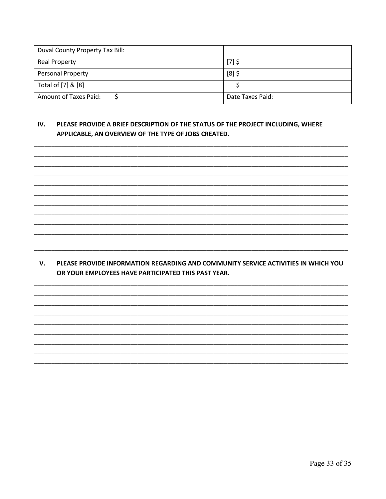| Duval County Property Tax Bill: |                  |
|---------------------------------|------------------|
| <b>Real Property</b>            | $[7]$ \$         |
| <b>Personal Property</b>        | $[8]$ \$         |
| Total of [7] & [8]              |                  |
| <b>Amount of Taxes Paid:</b>    | Date Taxes Paid: |

#### IV. PLEASE PROVIDE A BRIEF DESCRIPTION OF THE STATUS OF THE PROJECT INCLUDING, WHERE APPLICABLE, AN OVERVIEW OF THE TYPE OF JOBS CREATED.

V. PLEASE PROVIDE INFORMATION REGARDING AND COMMUNITY SERVICE ACTIVITIES IN WHICH YOU OR YOUR EMPLOYEES HAVE PARTICIPATED THIS PAST YEAR.

Page 33 of 35

On File Page 33 of 35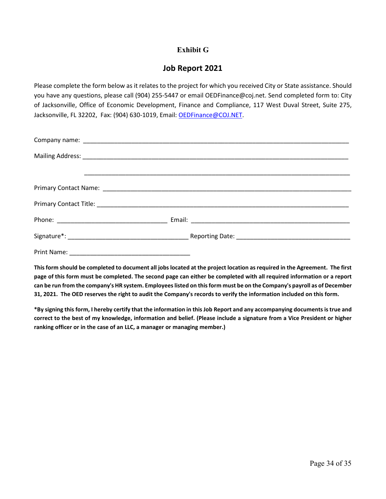### **Exhibit G**

## **Job Report 2021**

Please complete the form below as it relates to the project for which you received City or State assistance. Should you have any questions, please call (904) 255-5447 or email OEDFinance@coj.net. Send completed form to: City of Jacksonville, Office of Economic Development, Finance and Compliance, 117 West Duval Street, Suite 275, Jacksonville, FL 32202, Fax: (904) 630-1019, Email: [OEDFinance@COJ.NET.](mailto:OEDFinance@COJ.NET)

**This form should be completed to document all jobs located at the project location as required in the Agreement. The first page of this form must be completed. The second page can either be completed with all required information or a report can be run from the company's HR system. Employees listed on this form must be on the Company's payroll as of December 31, 2021. The OED reserves the right to audit the Company's records to verify the information included on this form.** 

**\*By signing this form, I hereby certify that the information in this Job Report and any accompanying documents is true and correct to the best of my knowledge, information and belief. (Please include a signature from a Vice President or higher ranking officer or in the case of an LLC, a manager or managing member.)**

Page 34 of 35